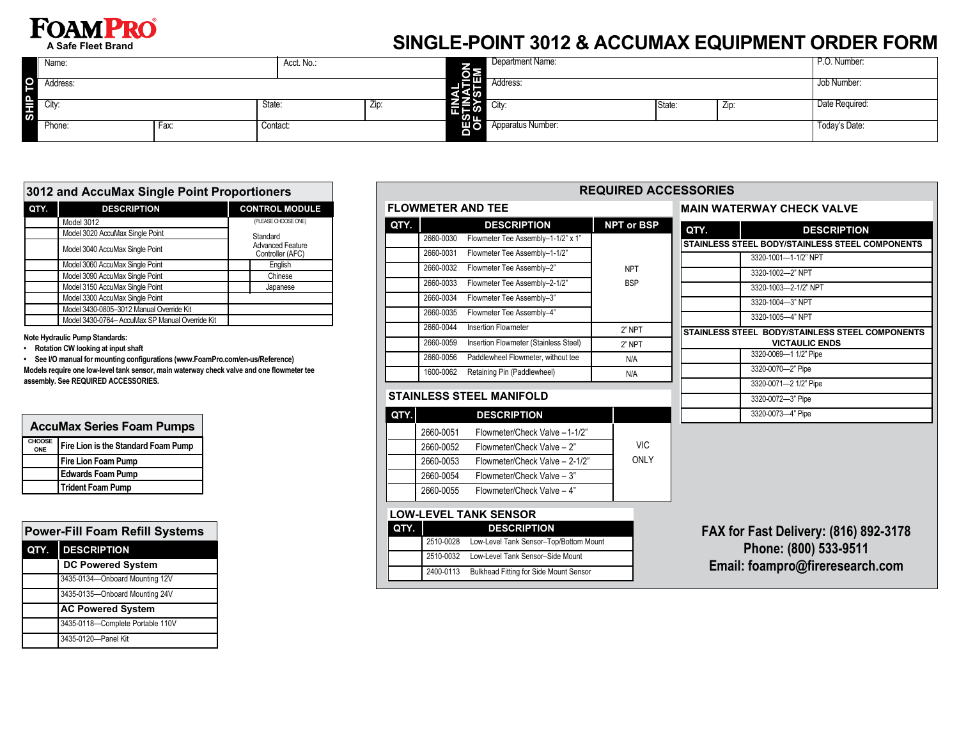# **FOAMPRO**

**A Safe Fleet Brand**

# **SINGLE-POINT 3012 & ACCUMAX EQUIPMENT ORDER FORM**

|         | Name:    |      | Acct. No.: |       |                          | Department Name:  |        |             | P.O. Number:   |
|---------|----------|------|------------|-------|--------------------------|-------------------|--------|-------------|----------------|
| SHIP TO | Address: |      |            |       | 相呼<br>ເ⊻ັ⊽               | Address:          |        |             | Job Number:    |
|         | City:    |      | State:     | - Zip | 一 にしゅう こうしょう こうしょう<br>ທய | City:             | State: | $\angle$ ip | Date Required: |
|         | Phone:   | Fax: | Contact:   |       | Шо∣                      | Apparatus Number: |        |             | Today's Date:  |

| 3012 and AccuMax Single Point Proportioners |                                                 |                                             |  |  |  |
|---------------------------------------------|-------------------------------------------------|---------------------------------------------|--|--|--|
| QTY.                                        | <b>DESCRIPTION</b>                              | <b>CONTROL MODULE</b>                       |  |  |  |
|                                             | Model 3012                                      | (PLEASE CHOOSE ONE)                         |  |  |  |
|                                             | Model 3020 AccuMax Single Point                 | Standard                                    |  |  |  |
|                                             | Model 3040 AccuMax Single Point                 | <b>Advanced Feature</b><br>Controller (AFC) |  |  |  |
|                                             | Model 3060 AccuMax Single Point                 | English                                     |  |  |  |
|                                             | Model 3090 AccuMax Single Point                 | Chinese                                     |  |  |  |
|                                             | Model 3150 AccuMax Single Point                 | Japanese                                    |  |  |  |
|                                             | Model 3300 AccuMax Single Point                 |                                             |  |  |  |
|                                             | Model 3430-0805-3012 Manual Override Kit        |                                             |  |  |  |
|                                             | Model 3430-0764- AccuMax SP Manual Override Kit |                                             |  |  |  |
|                                             |                                                 |                                             |  |  |  |

**Note Hydraulic Pump Standards:**

**• Rotation CW looking at input shaft**

**• See I/O manual for mounting configurations (www.FoamPro.com/en-us/Reference) Models require one low-level tank sensor, main waterway check valve and one flowmeter tee assembly. See REQUIRED ACCESSORIES.**

| <b>AccuMax Series Foam Pumps</b> |                                     |  |  |  |
|----------------------------------|-------------------------------------|--|--|--|
| CHOOSE<br>ONE                    | Fire Lion is the Standard Foam Pump |  |  |  |
|                                  | <b>Fire Lion Foam Pump</b>          |  |  |  |
|                                  | <b>Edwards Foam Pump</b>            |  |  |  |
|                                  | <b>Trident Foam Pump</b>            |  |  |  |

|      | <b>Power-Fill Foam Refill Systems</b> |  |  |  |  |
|------|---------------------------------------|--|--|--|--|
| QTY. | <b>DESCRIPTION</b>                    |  |  |  |  |
|      | <b>DC Powered System</b>              |  |  |  |  |
|      | 3435-0134-Onboard Mounting 12V        |  |  |  |  |
|      | 3435-0135-Onboard Mounting 24V        |  |  |  |  |
|      | <b>AC Powered System</b>              |  |  |  |  |
|      | 3435-0118-Complete Portable 110V      |  |  |  |  |
|      | 3435-0120-Panel Kit                   |  |  |  |  |

# **FLOWMETER AND TEE**

| QTY. |           | <b>DESCRIPTION</b>                    | <b>NPT or BSP</b> |
|------|-----------|---------------------------------------|-------------------|
|      | 2660-0030 | Flowmeter Tee Assembly-1-1/2" x 1"    |                   |
|      | 2660-0031 | Flowmeter Tee Assembly-1-1/2"         |                   |
|      | 2660-0032 | Flowmeter Tee Assembly-2"             | <b>NPT</b>        |
|      | 2660-0033 | Flowmeter Tee Assembly-2-1/2"         | <b>BSP</b>        |
|      | 2660-0034 | Flowmeter Tee Assembly-3"             |                   |
|      | 2660-0035 | Flowmeter Tee Assembly-4"             |                   |
|      | 2660-0044 | <b>Insertion Flowmeter</b>            | 2" NPT            |
|      | 2660-0059 | Insertion Flowmeter (Stainless Steel) | 2" NPT            |
|      | 2660-0056 | Paddlewheel Flowmeter, without tee    | N/A               |
|      | 1600-0062 | Retaining Pin (Paddlewheel)           | N/A               |
|      |           |                                       |                   |

### **REQUIRED ACCESSORIES**

#### **MAIN WATERWAY CHECK VALVE**

| <b>DESCRIPTION</b>                              |
|-------------------------------------------------|
| STAINLESS STEEL BODY/STAINLESS STEEL COMPONENTS |
|                                                 |
|                                                 |
|                                                 |
|                                                 |
|                                                 |
| STAINLESS STEEL BODY/STAINLESS STEEL COMPONENTS |
|                                                 |
|                                                 |
|                                                 |
|                                                 |
|                                                 |
|                                                 |
|                                                 |
|                                                 |

### **STAINLESS STEEL MANIFOLD**

| QTY.I |           | <b>DESCRIPTION</b>             |      |
|-------|-----------|--------------------------------|------|
|       | 2660-0051 | Flowmeter/Check Valve -1-1/2"  |      |
|       | 2660-0052 | Flowmeter/Check Valve - 2"     | VIC. |
|       | 2660-0053 | Flowmeter/Check Valve - 2-1/2" | ONLY |
|       | 2660-0054 | Flowmeter/Check Valve - 3"     |      |
|       | 2660-0055 | Flowmeter/Check Valve - 4"     |      |

#### **LOW-LEVEL TANK SENSOR**

| QTY. |           | <b>DESCRIPTION</b>                     |
|------|-----------|----------------------------------------|
|      | 2510-0028 | Low-Level Tank Sensor-Top/Bottom Mount |
|      | 2510-0032 | Low-Level Tank Sensor-Side Mount       |
|      | 2400-0113 | Bulkhead Fitting for Side Mount Sensor |

**FAX for Fast Delivery: (816) 892-3178 Phone: (800) 533-9511 Email: foampro@fireresearch.com**